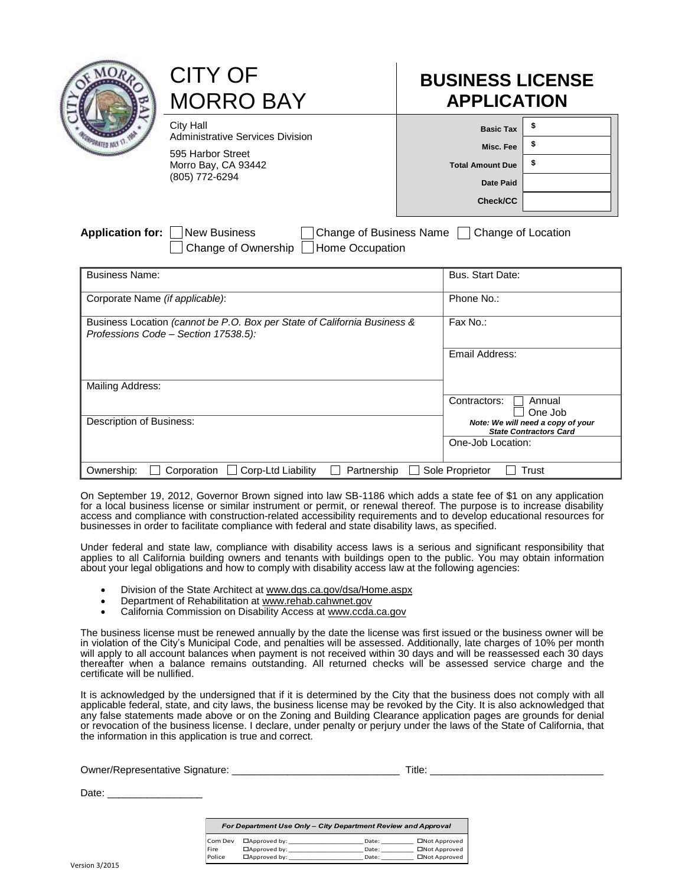|                                                                                                                  | <b>CITY OF</b><br><b>MORRO BAY</b>                           | <b>BUSINESS LICENSE</b><br><b>APPLICATION</b> |                                                                                         |
|------------------------------------------------------------------------------------------------------------------|--------------------------------------------------------------|-----------------------------------------------|-----------------------------------------------------------------------------------------|
|                                                                                                                  | <b>City Hall</b>                                             | <b>Basic Tax</b>                              | \$                                                                                      |
|                                                                                                                  | <b>Administrative Services Division</b><br>595 Harbor Street | Misc. Fee                                     | \$                                                                                      |
|                                                                                                                  | Morro Bay, CA 93442<br>(805) 772-6294                        | <b>Total Amount Due</b>                       | \$                                                                                      |
|                                                                                                                  |                                                              | Date Paid                                     |                                                                                         |
|                                                                                                                  |                                                              | Check/CC                                      |                                                                                         |
| <b>Business Name:</b><br>Corporate Name (if applicable):                                                         |                                                              | Bus. Start Date:<br>Phone No.:                |                                                                                         |
| Business Location (cannot be P.O. Box per State of California Business &<br>Professions Code - Section 17538.5): |                                                              | Fax No.:                                      |                                                                                         |
|                                                                                                                  |                                                              | Email Address:                                |                                                                                         |
| Mailing Address:                                                                                                 |                                                              |                                               |                                                                                         |
| Description of Business:                                                                                         |                                                              | Contractors:                                  | Annual<br>One Job<br>Note: We will need a copy of your<br><b>State Contractors Card</b> |
|                                                                                                                  |                                                              | One-Job Location:                             |                                                                                         |
| Ownership:                                                                                                       | Corp-Ltd Liability<br>Corporation<br>Partnership             | Sole Proprietor                               | Trust                                                                                   |

On September 19, 2012, Governor Brown signed into law SB-1186 which adds a state fee of \$1 on any application for a local business license or similar instrument or permit, or renewal thereof. The purpose is to increase disability access and compliance with construction-related accessibility requirements and to develop educational resources for businesses in order to facilitate compliance with federal and state disability laws, as specified.

Under federal and state law, compliance with disability access laws is a serious and significant responsibility that applies to all California building owners and tenants with buildings open to the public. You may obtain information about your legal obligations and how to comply with disability access law at the following agencies:

- Division of the State Architect at [www.dgs.ca.gov/dsa/Home.aspx](http://www.dgs.ca.gov/dsa/Home.aspx)
- **•** Department of Rehabilitation a[t www.rehab.cahwnet.gov](http://www.rehab.cahwnet.gov/)
- California Commission on Disability Access at [www.ccda.ca.gov](http://www.ccda.ca.gov/)

The business license must be renewed annually by the date the license was first issued or the business owner will be in violation of the City's Municipal Code, and penalties will be assessed. Additionally, late charges of 10% per month will apply to all account balances when payment is not received within 30 days and will be reassessed each 30 days thereafter when a balance remains outstanding. All returned checks will be assessed service charge and the certificate will be nullified.

It is acknowledged by the undersigned that if it is determined by the City that the business does not comply with all applicable federal, state, and city laws, the business license may be revoked by the City. It is also acknowledged that any false statements made above or on the Zoning and Building Clearance application pages are grounds for denial or revocation of the business license. I declare, under penalty or perjury under the laws of the State of California, that the information in this application is true and correct.

| Owner/Representat<br>$\sim$ of the $\sim$<br>۱۱۷۴،<br>amanın - | ue. |
|----------------------------------------------------------------|-----|
|----------------------------------------------------------------|-----|

Date:  $\overline{\phantom{a}}$ 

| For Department Use Only - City Department Review and Approval |                     |       |               |  |  |  |
|---------------------------------------------------------------|---------------------|-------|---------------|--|--|--|
| Com Dev                                                       | $\Box$ Approved by: | Date: | □Not Approved |  |  |  |
| Fire                                                          | $\Box$ Approved by: | Date: | □Not Approved |  |  |  |
| Police                                                        | $\Box$ Approved by: | Date: | □Not Approved |  |  |  |